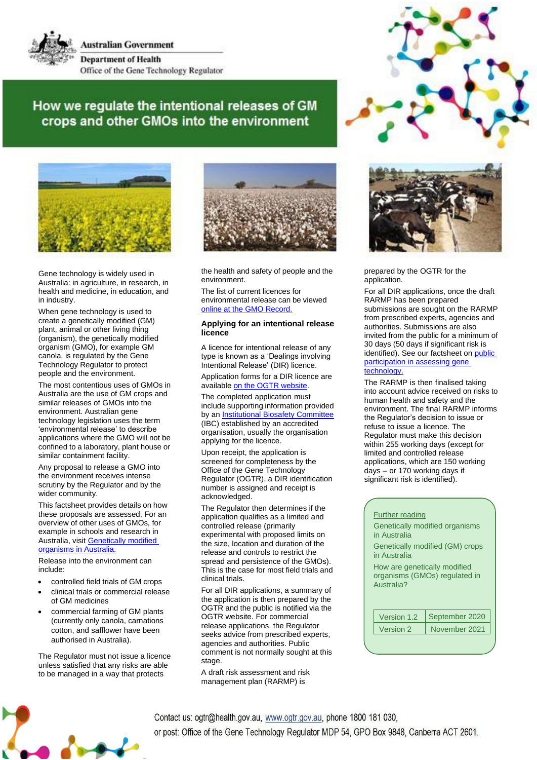

**Australian Government Department of Health** Office of the Gene Technology Regulator

## How we regulate the intentional releases of GM crops and other GMOs into the environment



Gene technology is widely used in Australia: in agriculture, in research, in health and medicine, in education, and in industry.

When gene technology is used to create a genetically modified (GM) plant, animal or other living thing (organism), the genetically modified organism (GMO), for example GM canola, is regulated by the Gene Technology Regulator to protect people and the environment.

The most contentious uses of GMOs in Australia are the use of GM crops and similar releases of GMOs into the environment. Australian gene technology legislation uses the term 'environmental release' to describe applications where the GMO will not be confined to a laboratory, plant house or similar containment facility.

Any proposal to release a GMO into the environment receives intense scrutiny by the Regulator and by the wider community.

This factsheet provides details on how these proposals are assessed. For an overview of other uses of GMOs, for example in schools and research in Australia, visi[t Genetically modified](https://ogtr.govcms.gov.au/resources/publications/genetically-modified-organisms-australia) [organisms](https://ogtr.govcms.gov.au/resources/publications/genetically-modified-organisms-australia) in Australia.

Release into the environment can include:

- controlled field trials of GM crops
- clinical trials or commercial release of GM medicines
- commercial farming of GM plants (currently only canola, carnations cotton, and safflower have been authorised in Australia).

The Regulator must not issue a licence unless satisfied that any risks are able to be managed in a way that protects



the health and safety of people and the environment.

The list of current licences for environmental release can be viewed online at the GMO [Record.](https://www.ogtr.gov.au/what-weve-approved/dealings-involving-intentional-release)

## **Applying for an intentional release licence**

A licence for intentional release of any type is known as a 'Dealings involving Intentional Release' (DIR) licence.

Application forms for a DIR licence are available on the OGTR [website.](https://www.ogtr.gov.au/resources/collections/application-and-reporting-forms)

The completed application must include supporting information provided by a[n Institutional Biosafety Committee](https://www.ogtr.gov.au/apply-gmo-approval/apply-organisation-accreditation#institutional-biosafety-committees) (IBC) established by an accredited organisation, usually the organisation applying for the licence.

Upon receipt, the application is screened for completeness by the Office of the Gene Technology Regulator (OGTR), a DIR identification number is assigned and receipt is acknowledged.

The Regulator then determines if the application qualifies as a limited and controlled release (primarily experimental with proposed limits on the size, location and duration of the release and controls to restrict the spread and persistence of the GMOs). This is the case for most field trials and clinical trials.

For all DIR applications, a summary of the application is then prepared by the OGTR and the public is notified via the OGTR website. For commercial release applications, the Regulator seeks advice from prescribed experts, agencies and authorities. Public comment is not normally sought at this stage.

A draft risk assessment and risk management plan (RARMP) is





prepared by the OGTR for the application.

For all DIR applications, once the draft RARMP has been prepared submissions are sought on the RARMP from prescribed experts, agencies and authorities. Submissions are also invited from the public for a minimum of 30 days (50 days if significant risk is identified). See our factsheet on [public](https://www.ogtr.gov.au/resources/publications/public-participation-assessing-gene-technology) [participation in assessing gene](https://www.ogtr.gov.au/resources/publications/public-participation-assessing-gene-technology) [technology.](https://www.ogtr.gov.au/resources/publications/public-participation-assessing-gene-technology)

The RARMP is then finalised taking into account advice received on risks to human health and safety and the environment. The final RARMP informs the Regulator's decision to issue or refuse to issue a licence. The Regulator must make this decision within 255 working days (except for limited and controlled release applications, which are 150 working days – or 170 working days if significant risk is identified).

## Further reading Genetically modified organisms in Australia Genetically modified (GM) crops in Australia How are genetically modified organisms (GMOs) regulated in Australia? Version 1.2 | September 2020 Version 2 November 2021

Contact us: ogtr@health.gov.au, www.ogtr.gov.au, phone 1800 181 030, or post: Office of the Gene Technology Regulator MDP 54, GPO Box 9848, Canberra ACT 2601.